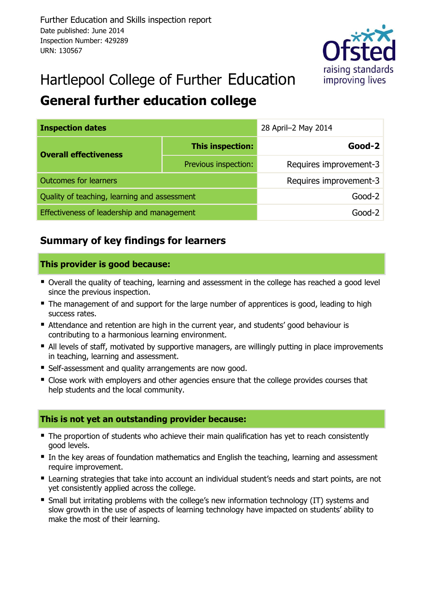

# Hartlepool College of Further Education

## **General further education college**

| <b>Inspection dates</b>                      | 28 April-2 May 2014    |                        |  |  |  |
|----------------------------------------------|------------------------|------------------------|--|--|--|
| <b>Overall effectiveness</b>                 | This inspection:       | $Good-2$               |  |  |  |
|                                              | Previous inspection:   | Requires improvement-3 |  |  |  |
| <b>Outcomes for learners</b>                 | Requires improvement-3 |                        |  |  |  |
| Quality of teaching, learning and assessment | $Good-2$               |                        |  |  |  |
| Effectiveness of leadership and management   | $Good-2$               |                        |  |  |  |

## **Summary of key findings for learners**

#### **This provider is good because:**

- Overall the quality of teaching, learning and assessment in the college has reached a good level since the previous inspection.
- The management of and support for the large number of apprentices is good, leading to high success rates.
- Attendance and retention are high in the current year, and students' good behaviour is contributing to a harmonious learning environment.
- All levels of staff, motivated by supportive managers, are willingly putting in place improvements in teaching, learning and assessment.
- **Self-assessment and quality arrangements are now good.**
- Close work with employers and other agencies ensure that the college provides courses that help students and the local community.

#### **This is not yet an outstanding provider because:**

- The proportion of students who achieve their main qualification has yet to reach consistently good levels.
- In the key areas of foundation mathematics and English the teaching, learning and assessment require improvement.
- Learning strategies that take into account an individual student's needs and start points, are not yet consistently applied across the college.
- **Small but irritating problems with the college's new information technology (IT) systems and Start** slow growth in the use of aspects of learning technology have impacted on students' ability to make the most of their learning.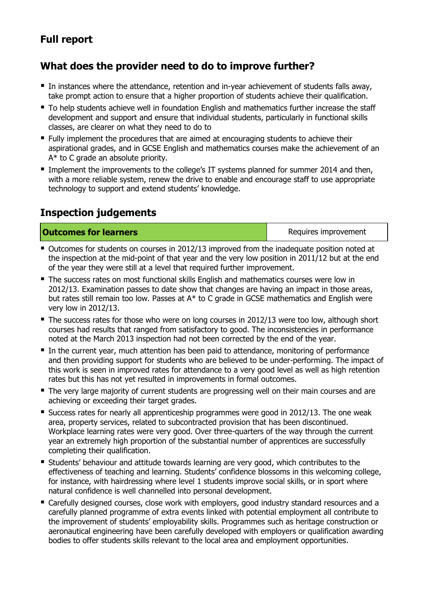## **Full report**

## **What does the provider need to do to improve further?**

- In instances where the attendance, retention and in-year achievement of students falls away, take prompt action to ensure that a higher proportion of students achieve their qualification.
- To help students achieve well in foundation English and mathematics further increase the staff development and support and ensure that individual students, particularly in functional skills classes, are clearer on what they need to do to
- Fully implement the procedures that are aimed at encouraging students to achieve their aspirational grades, and in GCSE English and mathematics courses make the achievement of an A\* to C grade an absolute priority.
- **Implement the improvements to the college's IT systems planned for summer 2014 and then,** with a more reliable system, renew the drive to enable and encourage staff to use appropriate technology to support and extend students' knowledge.

## **Inspection judgements**

**Outcomes for learners Requires improvement** 

- Outcomes for students on courses in 2012/13 improved from the inadequate position noted at the inspection at the mid-point of that year and the very low position in 2011/12 but at the end of the year they were still at a level that required further improvement.
- The success rates on most functional skills English and mathematics courses were low in 2012/13. Examination passes to date show that changes are having an impact in those areas, but rates still remain too low. Passes at A\* to C grade in GCSE mathematics and English were very low in 2012/13.
- The success rates for those who were on long courses in 2012/13 were too low, although short courses had results that ranged from satisfactory to good. The inconsistencies in performance noted at the March 2013 inspection had not been corrected by the end of the year.
- In the current year, much attention has been paid to attendance, monitoring of performance and then providing support for students who are believed to be under-performing. The impact of this work is seen in improved rates for attendance to a very good level as well as high retention rates but this has not yet resulted in improvements in formal outcomes.
- The very large majority of current students are progressing well on their main courses and are achieving or exceeding their target grades.
- **Success rates for nearly all apprenticeship programmes were good in 2012/13. The one weak** area, property services, related to subcontracted provision that has been discontinued. Workplace learning rates were very good. Over three-quarters of the way through the current year an extremely high proportion of the substantial number of apprentices are successfully completing their qualification.
- Students' behaviour and attitude towards learning are very good, which contributes to the effectiveness of teaching and learning. Students' confidence blossoms in this welcoming college, for instance, with hairdressing where level 1 students improve social skills, or in sport where natural confidence is well channelled into personal development.
- Carefully designed courses, close work with employers, good industry standard resources and a carefully planned programme of extra events linked with potential employment all contribute to the improvement of students' employability skills. Programmes such as heritage construction or aeronautical engineering have been carefully developed with employers or qualification awarding bodies to offer students skills relevant to the local area and employment opportunities.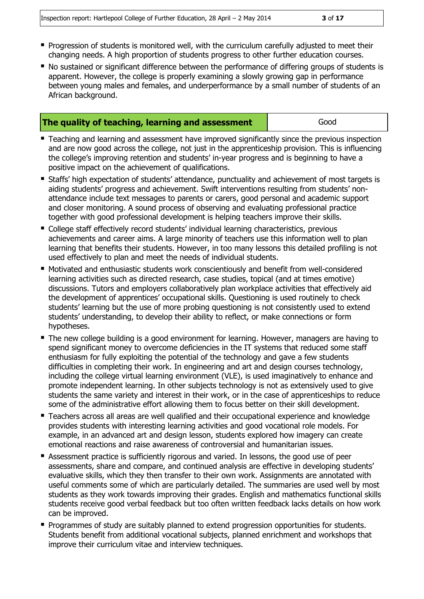- **Progression of students is monitored well, with the curriculum carefully adjusted to meet their** changing needs. A high proportion of students progress to other further education courses.
- No sustained or significant difference between the performance of differing groups of students is apparent. However, the college is properly examining a slowly growing gap in performance between young males and females, and underperformance by a small number of students of an African background.

| The quality of teaching, learning and assessment | Good |
|--------------------------------------------------|------|
|--------------------------------------------------|------|

- **Teaching and learning and assessment have improved significantly since the previous inspection** and are now good across the college, not just in the apprenticeship provision. This is influencing the college's improving retention and students' in-year progress and is beginning to have a positive impact on the achievement of qualifications.
- Staffs' high expectation of students' attendance, punctuality and achievement of most targets is aiding students' progress and achievement. Swift interventions resulting from students' nonattendance include text messages to parents or carers, good personal and academic support and closer monitoring. A sound process of observing and evaluating professional practice together with good professional development is helping teachers improve their skills.
- College staff effectively record students' individual learning characteristics, previous achievements and career aims. A large minority of teachers use this information well to plan learning that benefits their students. However, in too many lessons this detailed profiling is not used effectively to plan and meet the needs of individual students.
- Motivated and enthusiastic students work conscientiously and benefit from well-considered learning activities such as directed research, case studies, topical (and at times emotive) discussions. Tutors and employers collaboratively plan workplace activities that effectively aid the development of apprentices' occupational skills. Questioning is used routinely to check students' learning but the use of more probing questioning is not consistently used to extend students' understanding, to develop their ability to reflect, or make connections or form hypotheses.
- The new college building is a good environment for learning. However, managers are having to spend significant money to overcome deficiencies in the IT systems that reduced some staff enthusiasm for fully exploiting the potential of the technology and gave a few students difficulties in completing their work. In engineering and art and design courses technology, including the college virtual learning environment (VLE), is used imaginatively to enhance and promote independent learning. In other subjects technology is not as extensively used to give students the same variety and interest in their work, or in the case of apprenticeships to reduce some of the administrative effort allowing them to focus better on their skill development.
- Teachers across all areas are well qualified and their occupational experience and knowledge provides students with interesting learning activities and good vocational role models. For example, in an advanced art and design lesson, students explored how imagery can create emotional reactions and raise awareness of controversial and humanitarian issues.
- Assessment practice is sufficiently rigorous and varied. In lessons, the good use of peer assessments, share and compare, and continued analysis are effective in developing students' evaluative skills, which they then transfer to their own work. Assignments are annotated with useful comments some of which are particularly detailed. The summaries are used well by most students as they work towards improving their grades. English and mathematics functional skills students receive good verbal feedback but too often written feedback lacks details on how work can be improved.
- **Programmes of study are suitably planned to extend progression opportunities for students.** Students benefit from additional vocational subjects, planned enrichment and workshops that improve their curriculum vitae and interview techniques.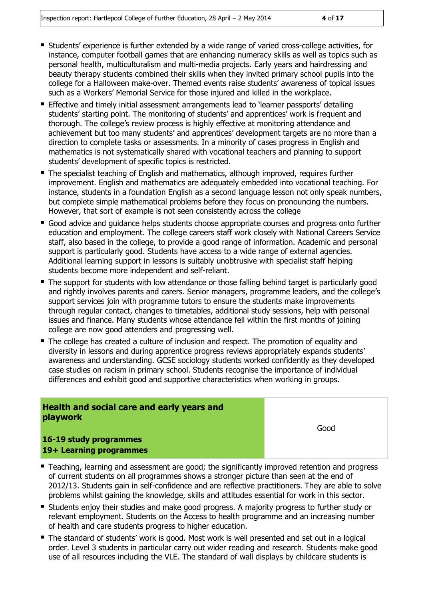- Students' experience is further extended by a wide range of varied cross-college activities, for instance, computer football games that are enhancing numeracy skills as well as topics such as personal health, multiculturalism and multi-media projects. Early years and hairdressing and beauty therapy students combined their skills when they invited primary school pupils into the college for a Halloween make-over. Themed events raise students' awareness of topical issues such as a Workers' Memorial Service for those injured and killed in the workplace.
- Effective and timely initial assessment arrangements lead to 'learner passports' detailing students' starting point. The monitoring of students' and apprentices' work is frequent and thorough. The college's review process is highly effective at monitoring attendance and achievement but too many students' and apprentices' development targets are no more than a direction to complete tasks or assessments. In a minority of cases progress in English and mathematics is not systematically shared with vocational teachers and planning to support students' development of specific topics is restricted.
- The specialist teaching of English and mathematics, although improved, requires further improvement. English and mathematics are adequately embedded into vocational teaching. For instance, students in a foundation English as a second language lesson not only speak numbers, but complete simple mathematical problems before they focus on pronouncing the numbers. However, that sort of example is not seen consistently across the college
- Good advice and guidance helps students choose appropriate courses and progress onto further education and employment. The college careers staff work closely with National Careers Service staff, also based in the college, to provide a good range of information. Academic and personal support is particularly good. Students have access to a wide range of external agencies. Additional learning support in lessons is suitably unobtrusive with specialist staff helping students become more independent and self-reliant.
- **The support for students with low attendance or those falling behind target is particularly good** and rightly involves parents and carers. Senior managers, programme leaders, and the college's support services join with programme tutors to ensure the students make improvements through regular contact, changes to timetables, additional study sessions, help with personal issues and finance. Many students whose attendance fell within the first months of joining college are now good attenders and progressing well.
- The college has created a culture of inclusion and respect. The promotion of equality and diversity in lessons and during apprentice progress reviews appropriately expands students' awareness and understanding. GCSE sociology students worked confidently as they developed case studies on racism in primary school. Students recognise the importance of individual differences and exhibit good and supportive characteristics when working in groups.

#### **Health and social care and early years and playwork**

Good

#### **16-19 study programmes 19+ Learning programmes**

- **Teaching, learning and assessment are good; the significantly improved retention and progress** of current students on all programmes shows a stronger picture than seen at the end of 2012/13. Students gain in self-confidence and are reflective practitioners. They are able to solve problems whilst gaining the knowledge, skills and attitudes essential for work in this sector.
- **Students enjoy their studies and make good progress. A majority progress to further study or** relevant employment. Students on the Access to health programme and an increasing number of health and care students progress to higher education.
- The standard of students' work is good. Most work is well presented and set out in a logical order. Level 3 students in particular carry out wider reading and research. Students make good use of all resources including the VLE. The standard of wall displays by childcare students is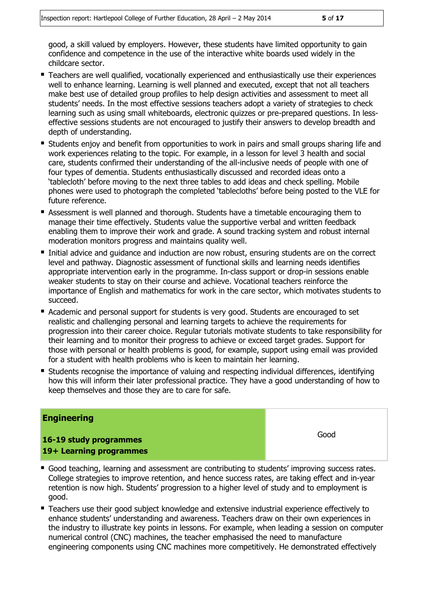good, a skill valued by employers. However, these students have limited opportunity to gain confidence and competence in the use of the interactive white boards used widely in the childcare sector.

- Teachers are well qualified, vocationally experienced and enthusiastically use their experiences well to enhance learning. Learning is well planned and executed, except that not all teachers make best use of detailed group profiles to help design activities and assessment to meet all students' needs. In the most effective sessions teachers adopt a variety of strategies to check learning such as using small whiteboards, electronic quizzes or pre-prepared questions. In lesseffective sessions students are not encouraged to justify their answers to develop breadth and depth of understanding.
- **Students enjoy and benefit from opportunities to work in pairs and small groups sharing life and** work experiences relating to the topic. For example, in a lesson for level 3 health and social care, students confirmed their understanding of the all-inclusive needs of people with one of four types of dementia. Students enthusiastically discussed and recorded ideas onto a 'tablecloth' before moving to the next three tables to add ideas and check spelling. Mobile phones were used to photograph the completed 'tablecloths' before being posted to the VLE for future reference.
- Assessment is well planned and thorough. Students have a timetable encouraging them to manage their time effectively. Students value the supportive verbal and written feedback enabling them to improve their work and grade. A sound tracking system and robust internal moderation monitors progress and maintains quality well.
- Initial advice and quidance and induction are now robust, ensuring students are on the correct level and pathway. Diagnostic assessment of functional skills and learning needs identifies appropriate intervention early in the programme. In-class support or drop-in sessions enable weaker students to stay on their course and achieve. Vocational teachers reinforce the importance of English and mathematics for work in the care sector, which motivates students to succeed.
- Academic and personal support for students is very good. Students are encouraged to set realistic and challenging personal and learning targets to achieve the requirements for progression into their career choice. Regular tutorials motivate students to take responsibility for their learning and to monitor their progress to achieve or exceed target grades. Support for those with personal or health problems is good, for example, support using email was provided for a student with health problems who is keen to maintain her learning.
- Students recognise the importance of valuing and respecting individual differences, identifying how this will inform their later professional practice. They have a good understanding of how to keep themselves and those they are to care for safe.

#### **Engineering**

**16-19 study programmes 19+ Learning programmes**

- Good teaching, learning and assessment are contributing to students' improving success rates. College strategies to improve retention, and hence success rates, are taking effect and in-year retention is now high. Students' progression to a higher level of study and to employment is good.
- Teachers use their good subject knowledge and extensive industrial experience effectively to enhance students' understanding and awareness. Teachers draw on their own experiences in the industry to illustrate key points in lessons. For example, when leading a session on computer numerical control (CNC) machines, the teacher emphasised the need to manufacture engineering components using CNC machines more competitively. He demonstrated effectively

Good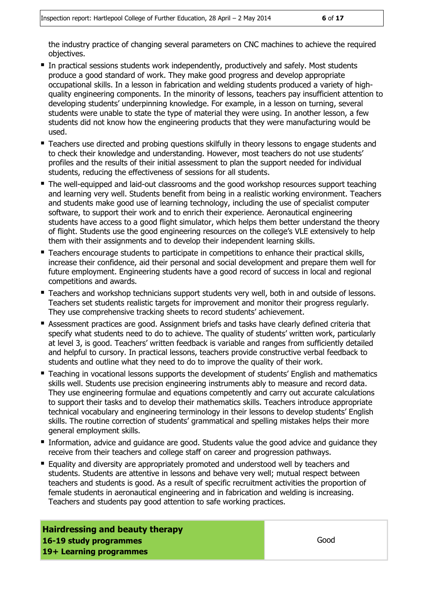the industry practice of changing several parameters on CNC machines to achieve the required objectives.

- **In practical sessions students work independently, productively and safely. Most students** produce a good standard of work. They make good progress and develop appropriate occupational skills. In a lesson in fabrication and welding students produced a variety of highquality engineering components. In the minority of lessons, teachers pay insufficient attention to developing students' underpinning knowledge. For example, in a lesson on turning, several students were unable to state the type of material they were using. In another lesson, a few students did not know how the engineering products that they were manufacturing would be used.
- **Teachers use directed and probing questions skilfully in theory lessons to engage students and** to check their knowledge and understanding. However, most teachers do not use students' profiles and the results of their initial assessment to plan the support needed for individual students, reducing the effectiveness of sessions for all students.
- The well-equipped and laid-out classrooms and the good workshop resources support teaching and learning very well. Students benefit from being in a realistic working environment. Teachers and students make good use of learning technology, including the use of specialist computer software, to support their work and to enrich their experience. Aeronautical engineering students have access to a good flight simulator, which helps them better understand the theory of flight. Students use the good engineering resources on the college's VLE extensively to help them with their assignments and to develop their independent learning skills.
- **Teachers encourage students to participate in competitions to enhance their practical skills,** increase their confidence, aid their personal and social development and prepare them well for future employment. Engineering students have a good record of success in local and regional competitions and awards.
- **Teachers and workshop technicians support students very well, both in and outside of lessons.** Teachers set students realistic targets for improvement and monitor their progress regularly. They use comprehensive tracking sheets to record students' achievement.
- Assessment practices are good. Assignment briefs and tasks have clearly defined criteria that specify what students need to do to achieve. The quality of students' written work, particularly at level 3, is good. Teachers' written feedback is variable and ranges from sufficiently detailed and helpful to cursory. In practical lessons, teachers provide constructive verbal feedback to students and outline what they need to do to improve the quality of their work.
- Teaching in vocational lessons supports the development of students' English and mathematics skills well. Students use precision engineering instruments ably to measure and record data. They use engineering formulae and equations competently and carry out accurate calculations to support their tasks and to develop their mathematics skills. Teachers introduce appropriate technical vocabulary and engineering terminology in their lessons to develop students' English skills. The routine correction of students' grammatical and spelling mistakes helps their more general employment skills.
- Information, advice and guidance are good. Students value the good advice and guidance they receive from their teachers and college staff on career and progression pathways.
- Equality and diversity are appropriately promoted and understood well by teachers and students. Students are attentive in lessons and behave very well; mutual respect between teachers and students is good. As a result of specific recruitment activities the proportion of female students in aeronautical engineering and in fabrication and welding is increasing. Teachers and students pay good attention to safe working practices.

**Hairdressing and beauty therapy 16-19 study programmes 19+ Learning programmes**

Good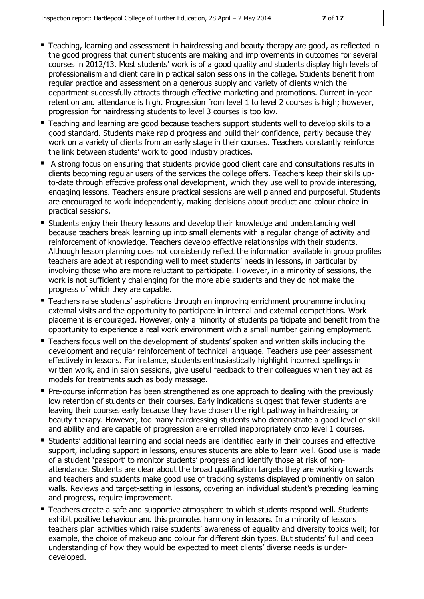- Teaching, learning and assessment in hairdressing and beauty therapy are good, as reflected in the good progress that current students are making and improvements in outcomes for several courses in 2012/13. Most students' work is of a good quality and students display high levels of professionalism and client care in practical salon sessions in the college. Students benefit from regular practice and assessment on a generous supply and variety of clients which the department successfully attracts through effective marketing and promotions. Current in-year retention and attendance is high. Progression from level 1 to level 2 courses is high; however, progression for hairdressing students to level 3 courses is too low.
- Teaching and learning are good because teachers support students well to develop skills to a good standard. Students make rapid progress and build their confidence, partly because they work on a variety of clients from an early stage in their courses. Teachers constantly reinforce the link between students' work to good industry practices.
- A strong focus on ensuring that students provide good client care and consultations results in clients becoming regular users of the services the college offers. Teachers keep their skills upto-date through effective professional development, which they use well to provide interesting, engaging lessons. Teachers ensure practical sessions are well planned and purposeful. Students are encouraged to work independently, making decisions about product and colour choice in practical sessions.
- Students enjoy their theory lessons and develop their knowledge and understanding well because teachers break learning up into small elements with a regular change of activity and reinforcement of knowledge. Teachers develop effective relationships with their students. Although lesson planning does not consistently reflect the information available in group profiles teachers are adept at responding well to meet students' needs in lessons, in particular by involving those who are more reluctant to participate. However, in a minority of sessions, the work is not sufficiently challenging for the more able students and they do not make the progress of which they are capable.
- Teachers raise students' aspirations through an improving enrichment programme including external visits and the opportunity to participate in internal and external competitions. Work placement is encouraged. However, only a minority of students participate and benefit from the opportunity to experience a real work environment with a small number gaining employment.
- Teachers focus well on the development of students' spoken and written skills including the development and regular reinforcement of technical language. Teachers use peer assessment effectively in lessons. For instance, students enthusiastically highlight incorrect spellings in written work, and in salon sessions, give useful feedback to their colleagues when they act as models for treatments such as body massage.
- Pre-course information has been strengthened as one approach to dealing with the previously low retention of students on their courses. Early indications suggest that fewer students are leaving their courses early because they have chosen the right pathway in hairdressing or beauty therapy. However, too many hairdressing students who demonstrate a good level of skill and ability and are capable of progression are enrolled inappropriately onto level 1 courses.
- Students' additional learning and social needs are identified early in their courses and effective support, including support in lessons, ensures students are able to learn well. Good use is made of a student 'passport' to monitor students' progress and identify those at risk of nonattendance. Students are clear about the broad qualification targets they are working towards and teachers and students make good use of tracking systems displayed prominently on salon walls. Reviews and target-setting in lessons, covering an individual student's preceding learning and progress, require improvement.
- Teachers create a safe and supportive atmosphere to which students respond well. Students exhibit positive behaviour and this promotes harmony in lessons. In a minority of lessons teachers plan activities which raise students' awareness of equality and diversity topics well; for example, the choice of makeup and colour for different skin types. But students' full and deep understanding of how they would be expected to meet clients' diverse needs is underdeveloped.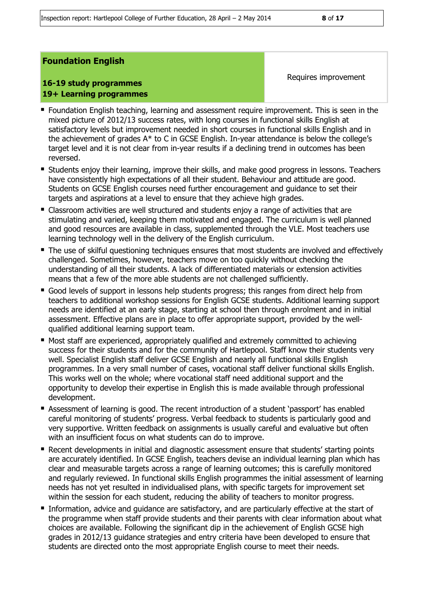#### **Foundation English**

#### **16-19 study programmes 19+ Learning programmes**

Requires improvement

- Foundation English teaching, learning and assessment require improvement. This is seen in the mixed picture of 2012/13 success rates, with long courses in functional skills English at satisfactory levels but improvement needed in short courses in functional skills English and in the achievement of grades A\* to C in GCSE English. In-year attendance is below the college's target level and it is not clear from in-year results if a declining trend in outcomes has been reversed.
- Students enjoy their learning, improve their skills, and make good progress in lessons. Teachers have consistently high expectations of all their student. Behaviour and attitude are good. Students on GCSE English courses need further encouragement and guidance to set their targets and aspirations at a level to ensure that they achieve high grades.
- Classroom activities are well structured and students enjoy a range of activities that are stimulating and varied, keeping them motivated and engaged. The curriculum is well planned and good resources are available in class, supplemented through the VLE. Most teachers use learning technology well in the delivery of the English curriculum.
- **The use of skilful questioning techniques ensures that most students are involved and effectively** challenged. Sometimes, however, teachers move on too quickly without checking the understanding of all their students. A lack of differentiated materials or extension activities means that a few of the more able students are not challenged sufficiently.
- Good levels of support in lessons help students progress; this ranges from direct help from teachers to additional workshop sessions for English GCSE students. Additional learning support needs are identified at an early stage, starting at school then through enrolment and in initial assessment. Effective plans are in place to offer appropriate support, provided by the wellqualified additional learning support team.
- Most staff are experienced, appropriately qualified and extremely committed to achieving success for their students and for the community of Hartlepool. Staff know their students very well. Specialist English staff deliver GCSE English and nearly all functional skills English programmes. In a very small number of cases, vocational staff deliver functional skills English. This works well on the whole; where vocational staff need additional support and the opportunity to develop their expertise in English this is made available through professional development.
- Assessment of learning is good. The recent introduction of a student 'passport' has enabled careful monitoring of students' progress. Verbal feedback to students is particularly good and very supportive. Written feedback on assignments is usually careful and evaluative but often with an insufficient focus on what students can do to improve.
- Recent developments in initial and diagnostic assessment ensure that students' starting points are accurately identified. In GCSE English, teachers devise an individual learning plan which has clear and measurable targets across a range of learning outcomes; this is carefully monitored and regularly reviewed. In functional skills English programmes the initial assessment of learning needs has not yet resulted in individualised plans, with specific targets for improvement set within the session for each student, reducing the ability of teachers to monitor progress.
- Information, advice and quidance are satisfactory, and are particularly effective at the start of the programme when staff provide students and their parents with clear information about what choices are available. Following the significant dip in the achievement of English GCSE high grades in 2012/13 guidance strategies and entry criteria have been developed to ensure that students are directed onto the most appropriate English course to meet their needs.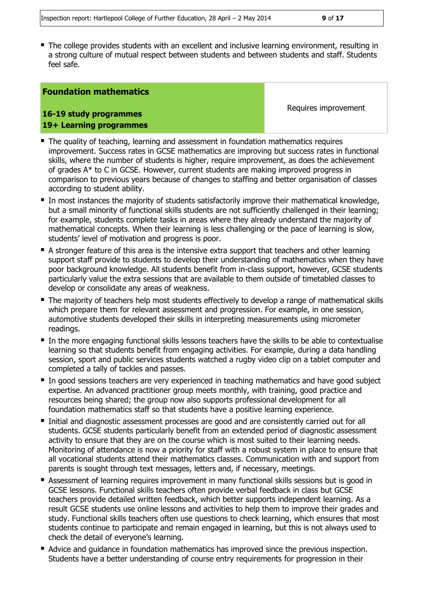The college provides students with an excellent and inclusive learning environment, resulting in a strong culture of mutual respect between students and between students and staff. Students feel safe.

#### **Foundation mathematics**

**16-19 study programmes 19+ Learning programmes** Requires improvement

- **The quality of teaching, learning and assessment in foundation mathematics requires** improvement. Success rates in GCSE mathematics are improving but success rates in functional skills, where the number of students is higher, require improvement, as does the achievement of grades A\* to C in GCSE. However, current students are making improved progress in comparison to previous years because of changes to staffing and better organisation of classes according to student ability.
- In most instances the majority of students satisfactorily improve their mathematical knowledge, but a small minority of functional skills students are not sufficiently challenged in their learning; for example, students complete tasks in areas where they already understand the majority of mathematical concepts. When their learning is less challenging or the pace of learning is slow, students' level of motivation and progress is poor.
- A stronger feature of this area is the intensive extra support that teachers and other learning support staff provide to students to develop their understanding of mathematics when they have poor background knowledge. All students benefit from in-class support, however, GCSE students particularly value the extra sessions that are available to them outside of timetabled classes to develop or consolidate any areas of weakness.
- The majority of teachers help most students effectively to develop a range of mathematical skills which prepare them for relevant assessment and progression. For example, in one session, automotive students developed their skills in interpreting measurements using micrometer readings.
- In the more engaging functional skills lessons teachers have the skills to be able to contextualise learning so that students benefit from engaging activities. For example, during a data handling session, sport and public services students watched a rugby video clip on a tablet computer and completed a tally of tackles and passes.
- In good sessions teachers are very experienced in teaching mathematics and have good subject expertise. An advanced practitioner group meets monthly, with training, good practice and resources being shared; the group now also supports professional development for all foundation mathematics staff so that students have a positive learning experience.
- Initial and diagnostic assessment processes are good and are consistently carried out for all students. GCSE students particularly benefit from an extended period of diagnostic assessment activity to ensure that they are on the course which is most suited to their learning needs. Monitoring of attendance is now a priority for staff with a robust system in place to ensure that all vocational students attend their mathematics classes. Communication with and support from parents is sought through text messages, letters and, if necessary, meetings.
- Assessment of learning requires improvement in many functional skills sessions but is good in GCSE lessons. Functional skills teachers often provide verbal feedback in class but GCSE teachers provide detailed written feedback, which better supports independent learning. As a result GCSE students use online lessons and activities to help them to improve their grades and study. Functional skills teachers often use questions to check learning, which ensures that most students continue to participate and remain engaged in learning, but this is not always used to check the detail of everyone's learning.
- Advice and guidance in foundation mathematics has improved since the previous inspection. Students have a better understanding of course entry requirements for progression in their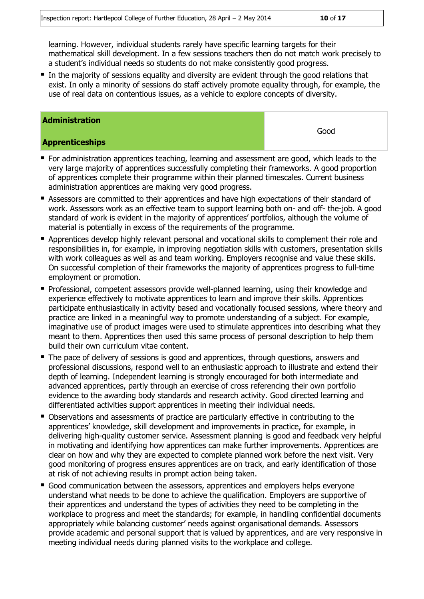In the majority of sessions equality and diversity are evident through the good relations that exist. In only a minority of sessions do staff actively promote equality through, for example, the use of real data on contentious issues, as a vehicle to explore concepts of diversity.

#### **Administration**

#### **Apprenticeships**

- For administration apprentices teaching, learning and assessment are good, which leads to the very large majority of apprentices successfully completing their frameworks. A good proportion of apprentices complete their programme within their planned timescales. Current business administration apprentices are making very good progress.
- **Assessors are committed to their apprentices and have high expectations of their standard of** work. Assessors work as an effective team to support learning both on- and off- the-job. A good standard of work is evident in the majority of apprentices' portfolios, although the volume of material is potentially in excess of the requirements of the programme.
- Apprentices develop highly relevant personal and vocational skills to complement their role and responsibilities in, for example, in improving negotiation skills with customers, presentation skills with work colleagues as well as and team working. Employers recognise and value these skills. On successful completion of their frameworks the majority of apprentices progress to full-time employment or promotion.
- Professional, competent assessors provide well-planned learning, using their knowledge and experience effectively to motivate apprentices to learn and improve their skills. Apprentices participate enthusiastically in activity based and vocationally focused sessions, where theory and practice are linked in a meaningful way to promote understanding of a subject. For example, imaginative use of product images were used to stimulate apprentices into describing what they meant to them. Apprentices then used this same process of personal description to help them build their own curriculum vitae content.
- The pace of delivery of sessions is good and apprentices, through questions, answers and professional discussions, respond well to an enthusiastic approach to illustrate and extend their depth of learning. Independent learning is strongly encouraged for both intermediate and advanced apprentices, partly through an exercise of cross referencing their own portfolio evidence to the awarding body standards and research activity. Good directed learning and differentiated activities support apprentices in meeting their individual needs.
- Observations and assessments of practice are particularly effective in contributing to the apprentices' knowledge, skill development and improvements in practice, for example, in delivering high-quality customer service. Assessment planning is good and feedback very helpful in motivating and identifying how apprentices can make further improvements. Apprentices are clear on how and why they are expected to complete planned work before the next visit. Very good monitoring of progress ensures apprentices are on track, and early identification of those at risk of not achieving results in prompt action being taken.
- Good communication between the assessors, apprentices and employers helps everyone understand what needs to be done to achieve the qualification. Employers are supportive of their apprentices and understand the types of activities they need to be completing in the workplace to progress and meet the standards; for example, in handling confidential documents appropriately while balancing customer' needs against organisational demands. Assessors provide academic and personal support that is valued by apprentices, and are very responsive in meeting individual needs during planned visits to the workplace and college.

Good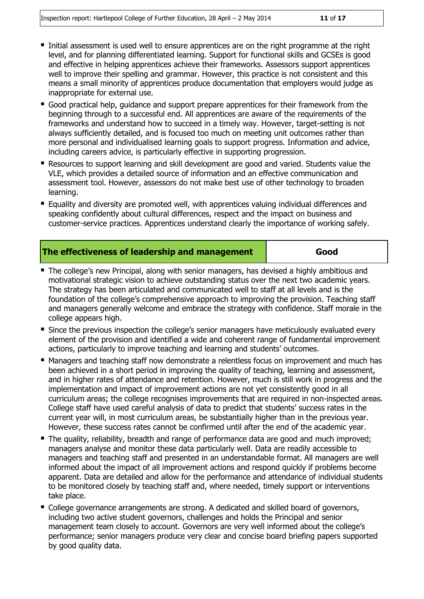- Initial assessment is used well to ensure apprentices are on the right programme at the right level, and for planning differentiated learning. Support for functional skills and GCSEs is good and effective in helping apprentices achieve their frameworks. Assessors support apprentices well to improve their spelling and grammar. However, this practice is not consistent and this means a small minority of apprentices produce documentation that employers would judge as inappropriate for external use.
- Good practical help, guidance and support prepare apprentices for their framework from the beginning through to a successful end. All apprentices are aware of the requirements of the frameworks and understand how to succeed in a timely way. However, target-setting is not always sufficiently detailed, and is focused too much on meeting unit outcomes rather than more personal and individualised learning goals to support progress. Information and advice, including careers advice, is particularly effective in supporting progression.
- Resources to support learning and skill development are good and varied. Students value the VLE, which provides a detailed source of information and an effective communication and assessment tool. However, assessors do not make best use of other technology to broaden learning.
- **Equality and diversity are promoted well, with apprentices valuing individual differences and** speaking confidently about cultural differences, respect and the impact on business and customer-service practices. Apprentices understand clearly the importance of working safely.

| The effectiveness of leadership and management | Good |
|------------------------------------------------|------|
|------------------------------------------------|------|

- The college's new Principal, along with senior managers, has devised a highly ambitious and motivational strategic vision to achieve outstanding status over the next two academic years. The strategy has been articulated and communicated well to staff at all levels and is the foundation of the college's comprehensive approach to improving the provision. Teaching staff and managers generally welcome and embrace the strategy with confidence. Staff morale in the college appears high.
- **Since the previous inspection the college's senior managers have meticulously evaluated every** element of the provision and identified a wide and coherent range of fundamental improvement actions, particularly to improve teaching and learning and students' outcomes.
- Managers and teaching staff now demonstrate a relentless focus on improvement and much has been achieved in a short period in improving the quality of teaching, learning and assessment, and in higher rates of attendance and retention. However, much is still work in progress and the implementation and impact of improvement actions are not yet consistently good in all curriculum areas; the college recognises improvements that are required in non-inspected areas. College staff have used careful analysis of data to predict that students' success rates in the current year will, in most curriculum areas, be substantially higher than in the previous year. However, these success rates cannot be confirmed until after the end of the academic year.
- The quality, reliability, breadth and range of performance data are good and much improved; managers analyse and monitor these data particularly well. Data are readily accessible to managers and teaching staff and presented in an understandable format. All managers are well informed about the impact of all improvement actions and respond quickly if problems become apparent. Data are detailed and allow for the performance and attendance of individual students to be monitored closely by teaching staff and, where needed, timely support or interventions take place.
- College governance arrangements are strong. A dedicated and skilled board of governors, including two active student governors, challenges and holds the Principal and senior management team closely to account. Governors are very well informed about the college's performance; senior managers produce very clear and concise board briefing papers supported by good quality data.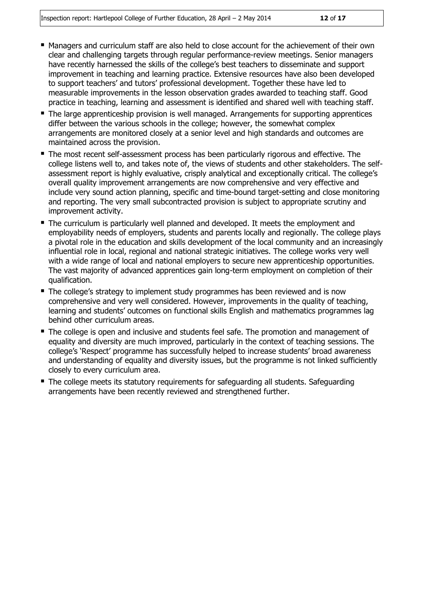- **Managers and curriculum staff are also held to close account for the achievement of their own** clear and challenging targets through regular performance-review meetings. Senior managers have recently harnessed the skills of the college's best teachers to disseminate and support improvement in teaching and learning practice. Extensive resources have also been developed to support teachers' and tutors' professional development. Together these have led to measurable improvements in the lesson observation grades awarded to teaching staff. Good practice in teaching, learning and assessment is identified and shared well with teaching staff.
- The large apprenticeship provision is well managed. Arrangements for supporting apprentices differ between the various schools in the college; however, the somewhat complex arrangements are monitored closely at a senior level and high standards and outcomes are maintained across the provision.
- The most recent self-assessment process has been particularly rigorous and effective. The college listens well to, and takes note of, the views of students and other stakeholders. The selfassessment report is highly evaluative, crisply analytical and exceptionally critical. The college's overall quality improvement arrangements are now comprehensive and very effective and include very sound action planning, specific and time-bound target-setting and close monitoring and reporting. The very small subcontracted provision is subject to appropriate scrutiny and improvement activity.
- The curriculum is particularly well planned and developed. It meets the employment and employability needs of employers, students and parents locally and regionally. The college plays a pivotal role in the education and skills development of the local community and an increasingly influential role in local, regional and national strategic initiatives. The college works very well with a wide range of local and national employers to secure new apprenticeship opportunities. The vast majority of advanced apprentices gain long-term employment on completion of their qualification.
- The college's strategy to implement study programmes has been reviewed and is now comprehensive and very well considered. However, improvements in the quality of teaching, learning and students' outcomes on functional skills English and mathematics programmes lag behind other curriculum areas.
- The college is open and inclusive and students feel safe. The promotion and management of equality and diversity are much improved, particularly in the context of teaching sessions. The college's 'Respect' programme has successfully helped to increase students' broad awareness and understanding of equality and diversity issues, but the programme is not linked sufficiently closely to every curriculum area.
- The college meets its statutory requirements for safeguarding all students. Safeguarding arrangements have been recently reviewed and strengthened further.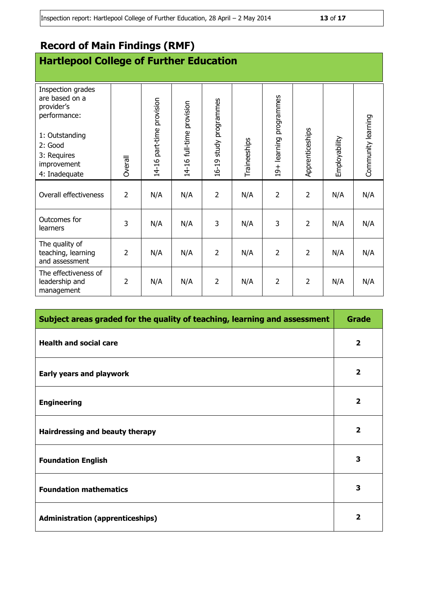## **Record of Main Findings (RMF)**

## **Hartlepool College of Further Education**

| Inspection grades<br>are based on a<br>provider's<br>performance:<br>1: Outstanding<br>2: Good<br>3: Requires<br>improvement | Overall        | 14-16 part-time provision | 14-16 full-time provision | study programmes<br>16-19 | Traineeships | 19+ learning programmes | Apprenticeships | Employability | Community learning |
|------------------------------------------------------------------------------------------------------------------------------|----------------|---------------------------|---------------------------|---------------------------|--------------|-------------------------|-----------------|---------------|--------------------|
| 4: Inadequate                                                                                                                |                |                           |                           |                           |              |                         |                 |               |                    |
| Overall effectiveness                                                                                                        | $\overline{2}$ | N/A                       | N/A                       | $\overline{2}$            | N/A          | $\overline{2}$          | $\overline{2}$  | N/A           | N/A                |
| Outcomes for<br>learners                                                                                                     | 3              | N/A                       | N/A                       | 3                         | N/A          | 3                       | $\overline{2}$  | N/A           | N/A                |
| The quality of<br>teaching, learning<br>and assessment                                                                       | $\overline{2}$ | N/A                       | N/A                       | $\overline{2}$            | N/A          | $\overline{2}$          | $\overline{2}$  | N/A           | N/A                |
| The effectiveness of<br>leadership and<br>management                                                                         | $\overline{2}$ | N/A                       | N/A                       | $\overline{2}$            | N/A          | $\overline{2}$          | $\overline{2}$  | N/A           | N/A                |

| Subject areas graded for the quality of teaching, learning and assessment |                         |  |
|---------------------------------------------------------------------------|-------------------------|--|
| <b>Health and social care</b>                                             |                         |  |
| <b>Early years and playwork</b>                                           | $\overline{\mathbf{2}}$ |  |
| <b>Engineering</b>                                                        | $\overline{\mathbf{2}}$ |  |
| Hairdressing and beauty therapy                                           |                         |  |
| <b>Foundation English</b>                                                 |                         |  |
| <b>Foundation mathematics</b>                                             |                         |  |
| <b>Administration (apprenticeships)</b>                                   |                         |  |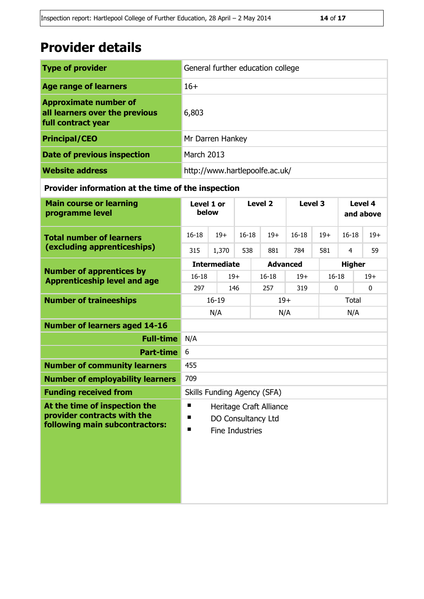## **Provider details**

| <b>Type of provider</b>                                                              | General further education college |
|--------------------------------------------------------------------------------------|-----------------------------------|
| <b>Age range of learners</b>                                                         | $16+$                             |
| <b>Approximate number of</b><br>all learners over the previous<br>full contract year | 6,803                             |
| <b>Principal/CEO</b>                                                                 | Mr Darren Hankey                  |
| <b>Date of previous inspection</b>                                                   | <b>March 2013</b>                 |
| <b>Website address</b>                                                               | http://www.hartlepoolfe.ac.uk/    |

#### **Provider information at the time of the inspection**

| <b>Main course or learning</b><br>programme level                                              | Level 1 or<br>below                                                                    |                     | Level 2   |                 | Level 3            |              | Level 4<br>and above |              |  |
|------------------------------------------------------------------------------------------------|----------------------------------------------------------------------------------------|---------------------|-----------|-----------------|--------------------|--------------|----------------------|--------------|--|
| <b>Total number of learners</b>                                                                | $16 - 18$                                                                              | $19+$               | $16 - 18$ | $19+$           | $16 - 18$          | $19+$        | $16 - 18$            | $19+$        |  |
| (excluding apprenticeships)                                                                    | 315                                                                                    | 1,370               | 538       | 881             | 784                | 581          | 4                    | 59           |  |
|                                                                                                |                                                                                        | <b>Intermediate</b> |           | <b>Advanced</b> |                    |              | <b>Higher</b>        |              |  |
| <b>Number of apprentices by</b><br><b>Apprenticeship level and age</b>                         | $16 - 18$                                                                              | $19+$               | $16 - 18$ |                 | $19+$<br>$16 - 18$ |              |                      | $19+$        |  |
|                                                                                                | 297                                                                                    |                     | 146       | 257             | 319                | $\mathbf{0}$ |                      | $\mathbf{0}$ |  |
| <b>Number of traineeships</b>                                                                  |                                                                                        | $16 - 19$           |           | $19+$           |                    |              |                      | <b>Total</b> |  |
|                                                                                                |                                                                                        | N/A                 |           | N/A             |                    |              | N/A                  |              |  |
| <b>Number of learners aged 14-16</b>                                                           |                                                                                        |                     |           |                 |                    |              |                      |              |  |
| <b>Full-time</b>                                                                               | N/A                                                                                    |                     |           |                 |                    |              |                      |              |  |
| <b>Part-time</b>                                                                               | 6                                                                                      |                     |           |                 |                    |              |                      |              |  |
| <b>Number of community learners</b>                                                            | 455                                                                                    |                     |           |                 |                    |              |                      |              |  |
| <b>Number of employability learners</b>                                                        | 709                                                                                    |                     |           |                 |                    |              |                      |              |  |
| <b>Funding received from</b>                                                                   | <b>Skills Funding Agency (SFA)</b>                                                     |                     |           |                 |                    |              |                      |              |  |
| At the time of inspection the<br>provider contracts with the<br>following main subcontractors: | п<br>Heritage Craft Alliance<br>п<br>DO Consultancy Ltd<br><b>Fine Industries</b><br>п |                     |           |                 |                    |              |                      |              |  |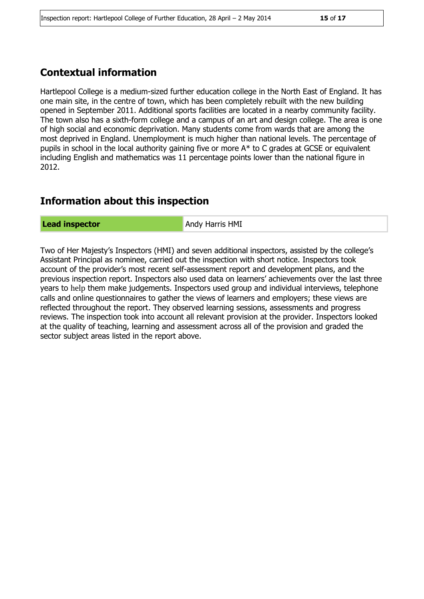### **Contextual information**

Hartlepool College is a medium-sized further education college in the North East of England. It has one main site, in the centre of town, which has been completely rebuilt with the new building opened in September 2011. Additional sports facilities are located in a nearby community facility. The town also has a sixth-form college and a campus of an art and design college. The area is one of high social and economic deprivation. Many students come from wards that are among the most deprived in England. Unemployment is much higher than national levels. The percentage of pupils in school in the local authority gaining five or more A\* to C grades at GCSE or equivalent including English and mathematics was 11 percentage points lower than the national figure in 2012.

### **Information about this inspection**

**Lead inspector** Andy Harris HMI

Two of Her Majesty's Inspectors (HMI) and seven additional inspectors, assisted by the college's Assistant Principal as nominee, carried out the inspection with short notice. Inspectors took account of the provider's most recent self-assessment report and development plans, and the previous inspection report. Inspectors also used data on learners' achievements over the last three years to help them make judgements. Inspectors used group and individual interviews, telephone calls and online questionnaires to gather the views of learners and employers; these views are reflected throughout the report. They observed learning sessions, assessments and progress reviews. The inspection took into account all relevant provision at the provider. Inspectors looked at the quality of teaching, learning and assessment across all of the provision and graded the sector subject areas listed in the report above.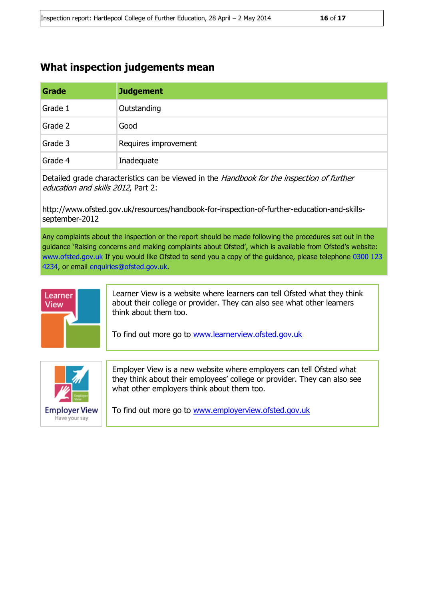### **What inspection judgements mean**

| Grade   | <b>Judgement</b>     |
|---------|----------------------|
| Grade 1 | Outstanding          |
| Grade 2 | Good                 |
| Grade 3 | Requires improvement |
| Grade 4 | Inadequate           |

Detailed grade characteristics can be viewed in the Handbook for the inspection of further education and skills 2012, Part 2:

http://www.ofsted.gov.uk/resources/handbook-for-inspection-of-further-education-and-skillsseptember-2012

Any complaints about the inspection or the report should be made following the procedures set out in the guidance 'Raising concerns and making complaints about Ofsted', which is available from Ofsted's website: www.ofsted.gov.uk If you would like Ofsted to send you a copy of the guidance, please telephone 0300 123 4234, or email enquiries@ofsted.gov.uk.



Learner View is a website where learners can tell Ofsted what they think about their college or provider. They can also see what other learners think about them too.

To find out more go to [www.learnerview.ofsted.gov.uk](http://www.learnerview.ofsted.gov.uk/)



Employer View is a new website where employers can tell Ofsted what they think about their employees' college or provider. They can also see what other employers think about them too.

To find out more go to [www.employerview.ofsted.gov.uk](http://www.employerview.ofsted.gov.uk/)